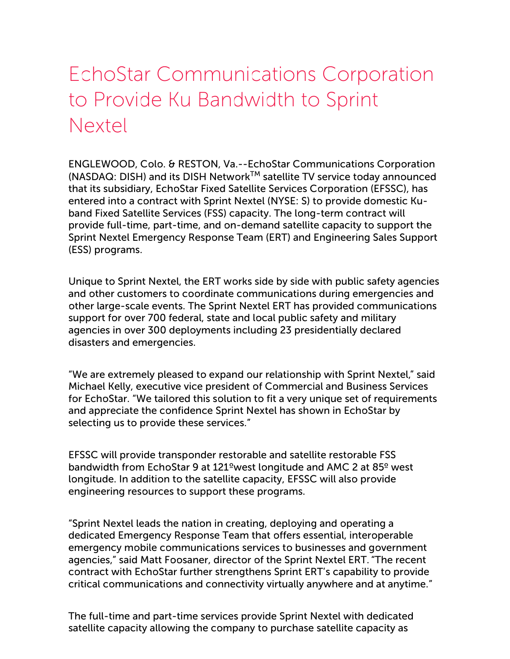# EchoStar Communications Corporation to Provide Ku Bandwidth to Sprint Nextel

ENGLEWOOD, Colo. & RESTON, Va.--EchoStar Communications Corporation (NASDAQ: DISH) and its DISH Network™ satellite TV service today announced that its subsidiary, EchoStar Fixed Satellite Services Corporation (EFSSC), has entered into a contract with Sprint Nextel (NYSE: S) to provide domestic Kuband Fixed Satellite Services (FSS) capacity. The long-term contract will provide full-time, part-time, and on-demand satellite capacity to support the Sprint Nextel Emergency Response Team (ERT) and Engineering Sales Support (ESS) programs.

Unique to Sprint Nextel, the ERT works side by side with public safety agencies and other customers to coordinate communications during emergencies and other large-scale events. The Sprint Nextel ERT has provided communications support for over 700 federal, state and local public safety and military agencies in over 300 deployments including 23 presidentially declared disasters and emergencies.

"We are extremely pleased to expand our relationship with Sprint Nextel," said Michael Kelly, executive vice president of Commercial and Business Services for EchoStar. "We tailored this solution to fit a very unique set of requirements and appreciate the confidence Sprint Nextel has shown in EchoStar by selecting us to provide these services."

EFSSC will provide transponder restorable and satellite restorable FSS bandwidth from EchoStar 9 at 121ºwest longitude and AMC 2 at 85º west longitude. In addition to the satellite capacity, EFSSC will also provide engineering resources to support these programs.

"Sprint Nextel leads the nation in creating, deploying and operating a dedicated Emergency Response Team that offers essential, interoperable emergency mobile communications services to businesses and government agencies," said Matt Foosaner, director of the Sprint Nextel ERT."The recent contract with EchoStar further strengthens Sprint ERT's capability to provide critical communications and connectivity virtually anywhere and at anytime."

The full-time and part-time services provide Sprint Nextel with dedicated satellite capacity allowing the company to purchase satellite capacity as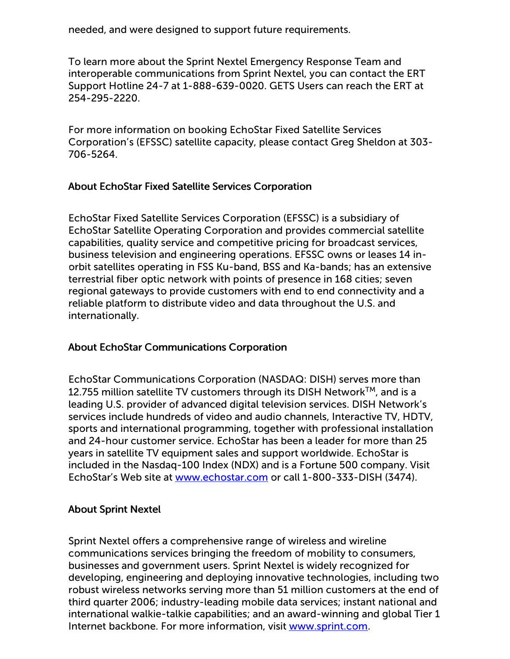needed, and were designed to support future requirements.

To learn more about the Sprint Nextel Emergency Response Team and interoperable communications from Sprint Nextel, you can contact the ERT Support Hotline 24-7 at 1-888-639-0020. GETS Users can reach the ERT at 254-295-2220.

For more information on booking EchoStar Fixed Satellite Services Corporation's (EFSSC) satellite capacity, please contact Greg Sheldon at 303- 706-5264.

### About EchoStar Fixed Satellite Services Corporation

EchoStar Fixed Satellite Services Corporation (EFSSC) is a subsidiary of EchoStar Satellite Operating Corporation and provides commercial satellite capabilities, quality service and competitive pricing for broadcast services, business television and engineering operations. EFSSC owns or leases 14 inorbit satellites operating in FSS Ku-band, BSS and Ka-bands; has an extensive terrestrial fiber optic network with points of presence in 168 cities; seven regional gateways to provide customers with end to end connectivity and a reliable platform to distribute video and data throughout the U.S. and internationally.

### About EchoStar Communications Corporation

EchoStar Communications Corporation (NASDAQ: DISH) serves more than 12.755 million satellite TV customers through its DISH Network $^{\text{\tiny{\textsf{TM}}}}$ , and is a leading U.S. provider of advanced digital television services. DISH Network's services include hundreds of video and audio channels, Interactive TV, HDTV, sports and international programming, together with professional installation and 24-hour customer service. EchoStar has been a leader for more than 25 years in satellite TV equipment sales and support worldwide. EchoStar is included in the Nasdaq-100 Index (NDX) and is a Fortune 500 company. Visit EchoStar's Web site at [www.echostar.com](http://www.echostar.com/) or call 1-800-333-DISH (3474).

### About Sprint Nextel

Sprint Nextel offers a comprehensive range of wireless and wireline communications services bringing the freedom of mobility to consumers, businesses and government users. Sprint Nextel is widely recognized for developing, engineering and deploying innovative technologies, including two robust wireless networks serving more than 51 million customers at the end of third quarter 2006; industry-leading mobile data services; instant national and international walkie-talkie capabilities; and an award-winning and global Tier 1 Internet backbone. For more information, visit [www.sprint.com](http://www.sprint.com/).